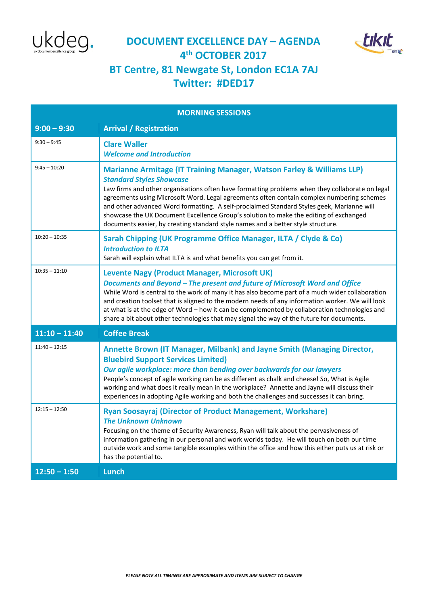



## **DOCUMENT EXCELLENCE DAY – AGENDA 4 th OCTOBER 2017 BT Centre, 81 Newgate St, London EC1A 7AJ Twitter: #DED17**

| <b>MORNING SESSIONS</b> |                                                                                                                                                                                                                                                                                                                                                                                                                                                                                                                                                                                               |
|-------------------------|-----------------------------------------------------------------------------------------------------------------------------------------------------------------------------------------------------------------------------------------------------------------------------------------------------------------------------------------------------------------------------------------------------------------------------------------------------------------------------------------------------------------------------------------------------------------------------------------------|
| $9:00 - 9:30$           | <b>Arrival / Registration</b>                                                                                                                                                                                                                                                                                                                                                                                                                                                                                                                                                                 |
| $9:30 - 9:45$           | <b>Clare Waller</b><br><b>Welcome and Introduction</b>                                                                                                                                                                                                                                                                                                                                                                                                                                                                                                                                        |
| $9:45 - 10:20$          | <b>Marianne Armitage (IT Training Manager, Watson Farley &amp; Williams LLP)</b><br><b>Standard Styles Showcase</b><br>Law firms and other organisations often have formatting problems when they collaborate on legal<br>agreements using Microsoft Word. Legal agreements often contain complex numbering schemes<br>and other advanced Word formatting. A self-proclaimed Standard Styles geek, Marianne will<br>showcase the UK Document Excellence Group's solution to make the editing of exchanged<br>documents easier, by creating standard style names and a better style structure. |
| $10:20 - 10:35$         | Sarah Chipping (UK Programme Office Manager, ILTA / Clyde & Co)<br><b>Introduction to ILTA</b><br>Sarah will explain what ILTA is and what benefits you can get from it.                                                                                                                                                                                                                                                                                                                                                                                                                      |
| $10:35 - 11:10$         | <b>Levente Nagy (Product Manager, Microsoft UK)</b><br>Documents and Beyond - The present and future of Microsoft Word and Office<br>While Word is central to the work of many it has also become part of a much wider collaboration<br>and creation toolset that is aligned to the modern needs of any information worker. We will look<br>at what is at the edge of Word - how it can be complemented by collaboration technologies and<br>share a bit about other technologies that may signal the way of the future for documents.                                                        |
| $11:10 - 11:40$         | <b>Coffee Break</b>                                                                                                                                                                                                                                                                                                                                                                                                                                                                                                                                                                           |
| $11:40 - 12:15$         | Annette Brown (IT Manager, Milbank) and Jayne Smith (Managing Director,<br><b>Bluebird Support Services Limited)</b><br>Our agile workplace: more than bending over backwards for our lawyers<br>People's concept of agile working can be as different as chalk and cheese! So, What is Agile<br>working and what does it really mean in the workplace? Annette and Jayne will discuss their<br>experiences in adopting Agile working and both the challenges and successes it can bring.                                                                                                     |
| $12:15 - 12:50$         | <b>Ryan Soosayraj (Director of Product Management, Workshare)</b><br><b>The Unknown Unknown</b><br>Focusing on the theme of Security Awareness, Ryan will talk about the pervasiveness of<br>information gathering in our personal and work worlds today. He will touch on both our time<br>outside work and some tangible examples within the office and how this either puts us at risk or<br>has the potential to.                                                                                                                                                                         |
| $12:50 - 1:50$          | Lunch                                                                                                                                                                                                                                                                                                                                                                                                                                                                                                                                                                                         |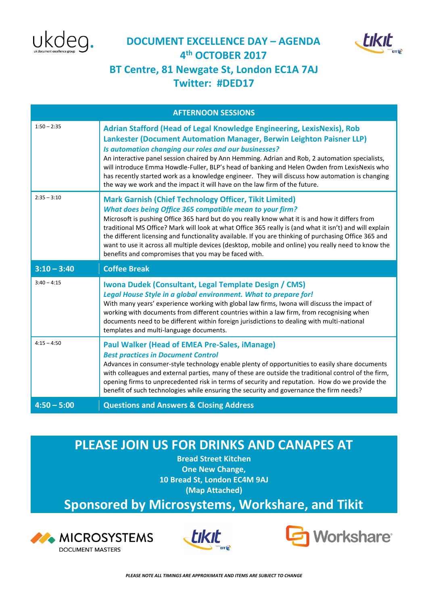





## **Twitter: #DED17**

| <b>AFTERNOON SESSIONS</b> |                                                                                                                                                                                                                                                                                                                                                                                                                                                                                                                                                                                                                       |
|---------------------------|-----------------------------------------------------------------------------------------------------------------------------------------------------------------------------------------------------------------------------------------------------------------------------------------------------------------------------------------------------------------------------------------------------------------------------------------------------------------------------------------------------------------------------------------------------------------------------------------------------------------------|
| $1:50 - 2:35$             | Adrian Stafford (Head of Legal Knowledge Engineering, LexisNexis), Rob<br>Lankester (Document Automation Manager, Berwin Leighton Paisner LLP)<br>Is automation changing our roles and our businesses?<br>An interactive panel session chaired by Ann Hemming. Adrian and Rob, 2 automation specialists,<br>will introduce Emma Howdle-Fuller, BLP's head of banking and Helen Owden from LexisNexis who<br>has recently started work as a knowledge engineer. They will discuss how automation is changing<br>the way we work and the impact it will have on the law firm of the future.                             |
| $2:35 - 3:10$             | <b>Mark Garnish (Chief Technology Officer, Tikit Limited)</b><br><b>What does being Office 365 compatible mean to your firm?</b><br>Microsoft is pushing Office 365 hard but do you really know what it is and how it differs from<br>traditional MS Office? Mark will look at what Office 365 really is (and what it isn't) and will explain<br>the different licensing and functionality available. If you are thinking of purchasing Office 365 and<br>want to use it across all multiple devices (desktop, mobile and online) you really need to know the<br>benefits and compromises that you may be faced with. |
|                           |                                                                                                                                                                                                                                                                                                                                                                                                                                                                                                                                                                                                                       |
| $3:10 - 3:40$             | <b>Coffee Break</b>                                                                                                                                                                                                                                                                                                                                                                                                                                                                                                                                                                                                   |
| $3:40 - 4:15$             | Iwona Dudek (Consultant, Legal Template Design / CMS)<br>Legal House Style in a global environment. What to prepare for!<br>With many years' experience working with global law firms, Iwona will discuss the impact of<br>working with documents from different countries within a law firm, from recognising when<br>documents need to be different within foreign jurisdictions to dealing with multi-national<br>templates and multi-language documents.                                                                                                                                                          |
| $4:15 - 4:50$             | <b>Paul Walker (Head of EMEA Pre-Sales, iManage)</b><br><b>Best practices in Document Control</b><br>Advances in consumer-style technology enable plenty of opportunities to easily share documents<br>with colleagues and external parties, many of these are outside the traditional control of the firm,<br>opening firms to unprecedented risk in terms of security and reputation. How do we provide the<br>benefit of such technologies while ensuring the security and governance the firm needs?                                                                                                              |

## **PLEASE JOIN US FOR DRINKS AND CANAPES AT**

**Bread Street Kitchen One New Change, 10 Bread St, London EC4M 9AJ (Map Attached)**

**Sponsored by Microsystems, Workshare, and Tikit**